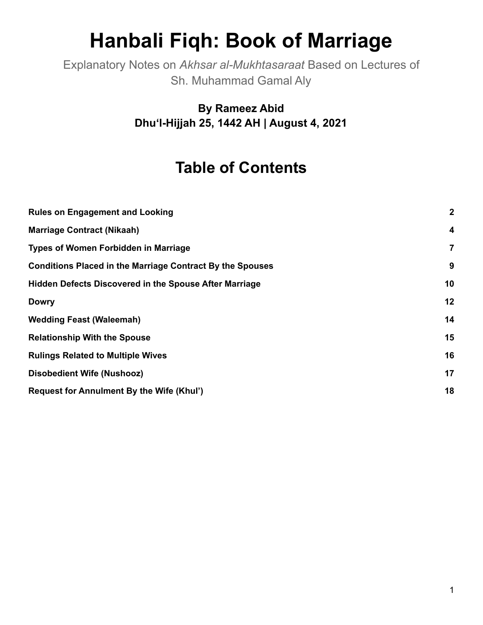# **Hanbali Fiqh: Book of Marriage**

Explanatory Notes on *Akhsar al-Mukhtasaraat* Based on Lectures of Sh. Muhammad Gamal Aly

> **By Rameez Abid Dhuʻl-Hijjah 25, 1442 AH | August 4, 2021**

# **Table of Contents**

| <b>Rules on Engagement and Looking</b>                           | $\boldsymbol{2}$        |
|------------------------------------------------------------------|-------------------------|
| <b>Marriage Contract (Nikaah)</b>                                | $\overline{\mathbf{4}}$ |
| <b>Types of Women Forbidden in Marriage</b>                      | 7                       |
| <b>Conditions Placed in the Marriage Contract By the Spouses</b> | 9                       |
| <b>Hidden Defects Discovered in the Spouse After Marriage</b>    | 10                      |
| <b>Dowry</b>                                                     | 12                      |
| <b>Wedding Feast (Waleemah)</b>                                  | 14                      |
| <b>Relationship With the Spouse</b>                              | 15                      |
| <b>Rulings Related to Multiple Wives</b>                         | 16                      |
| <b>Disobedient Wife (Nushooz)</b>                                | 17                      |
| Request for Annulment By the Wife (Khul')                        | 18                      |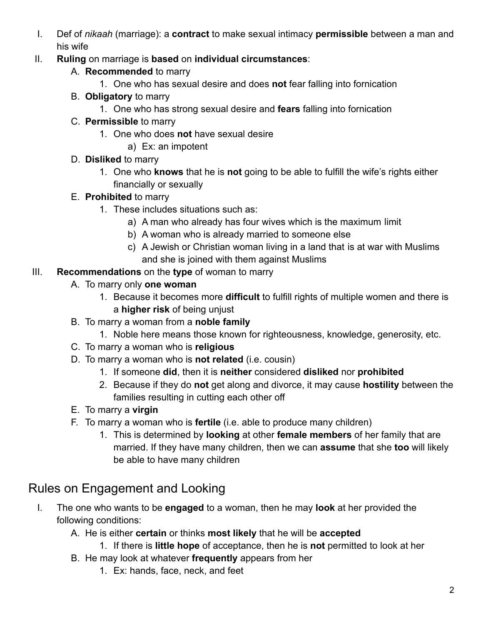- I. Def of *nikaah* (marriage): a **contract** to make sexual intimacy **permissible** between a man and his wife
- II. **Ruling** on marriage is **based** on **individual circumstances**:
	- A. **Recommended** to marry
		- 1. One who has sexual desire and does **not** fear falling into fornication
	- B. **Obligatory** to marry
		- 1. One who has strong sexual desire and **fears** falling into fornication
	- C. **Permissible** to marry
		- 1. One who does **not** have sexual desire
			- a) Ex: an impotent
	- D. **Disliked** to marry
		- 1. One who **knows** that he is **not** going to be able to fulfill the wife's rights either financially or sexually
	- E. **Prohibited** to marry
		- 1. These includes situations such as:
			- a) A man who already has four wives which is the maximum limit
			- b) A woman who is already married to someone else
			- c) A Jewish or Christian woman living in a land that is at war with Muslims and she is joined with them against Muslims

#### III. **Recommendations** on the **type** of woman to marry

- A. To marry only **one woman**
	- 1. Because it becomes more **difficult** to fulfill rights of multiple women and there is a **higher risk** of being unjust
- B. To marry a woman from a **noble family**
	- 1. Noble here means those known for righteousness, knowledge, generosity, etc.
- C. To marry a woman who is **religious**
- D. To marry a woman who is **not related** (i.e. cousin)
	- 1. If someone **did**, then it is **neither** considered **disliked** nor **prohibited**
	- 2. Because if they do **not** get along and divorce, it may cause **hostility** between the families resulting in cutting each other off
- E. To marry a **virgin**
- F. To marry a woman who is **fertile** (i.e. able to produce many children)
	- 1. This is determined by **looking** at other **female members** of her family that are married. If they have many children, then we can **assume** that she **too** will likely be able to have many children

#### <span id="page-1-0"></span>Rules on Engagement and Looking

- I. The one who wants to be **engaged** to a woman, then he may **look** at her provided the following conditions:
	- A. He is either **certain** or thinks **most likely** that he will be **accepted**
		- 1. If there is **little hope** of acceptance, then he is **not** permitted to look at her
	- B. He may look at whatever **frequently** appears from her
		- 1. Ex: hands, face, neck, and feet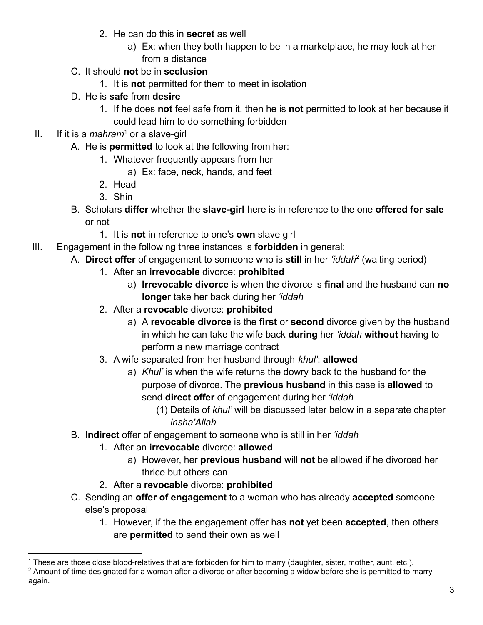- 2. He can do this in **secret** as well
	- a) Ex: when they both happen to be in a marketplace, he may look at her from a distance
- C. It should **not** be in **seclusion**
	- 1. It is **not** permitted for them to meet in isolation
- D. He is **safe** from **desire**
	- 1. If he does **not** feel safe from it, then he is **not** permitted to look at her because it could lead him to do something forbidden
- II. If it is a *mahram*<sup>1</sup> or a slave-girl
	- A. He is **permitted** to look at the following from her:
		- 1. Whatever frequently appears from her
			- a) Ex: face, neck, hands, and feet
		- 2. Head
		- 3. Shin
	- B. Scholars **differ** whether the **slave-girl** here is in reference to the one **offered for sale** or not
		- 1. It is **not** in reference to one's **own** slave girl
- III. Engagement in the following three instances is **forbidden** in general:
	- A. **Direct offer** of engagement to someone who is still in her 'iddah<sup>2</sup> (waiting period)
		- 1. After an **irrevocable** divorce: **prohibited**
			- a) **Irrevocable divorce** is when the divorce is **final** and the husband can **no longer** take her back during her *'iddah*
		- 2. After a **revocable** divorce: **prohibited**
			- a) A **revocable divorce** is the **first** or **second** divorce given by the husband in which he can take the wife back **during** her *'iddah* **without** having to perform a new marriage contract
		- 3. A wife separated from her husband through *khul'*: **allowed**
			- a) *Khul'* is when the wife returns the dowry back to the husband for the purpose of divorce. The **previous husband** in this case is **allowed** to send **direct offer** of engagement during her *'iddah*
				- (1) Details of *khul'* will be discussed later below in a separate chapter *insha'Allah*
	- B. **Indirect** offer of engagement to someone who is still in her *'iddah*
		- 1. After an **irrevocable** divorce: **allowed**
			- a) However, her **previous husband** will **not** be allowed if he divorced her thrice but others can
		- 2. After a **revocable** divorce: **prohibited**
	- C. Sending an **offer of engagement** to a woman who has already **accepted** someone else's proposal
		- 1. However, if the the engagement offer has **not** yet been **accepted**, then others are **permitted** to send their own as well

<sup>1</sup> These are those close blood-relatives that are forbidden for him to marry (daughter, sister, mother, aunt, etc.).

 $2$  Amount of time designated for a woman after a divorce or after becoming a widow before she is permitted to marry again.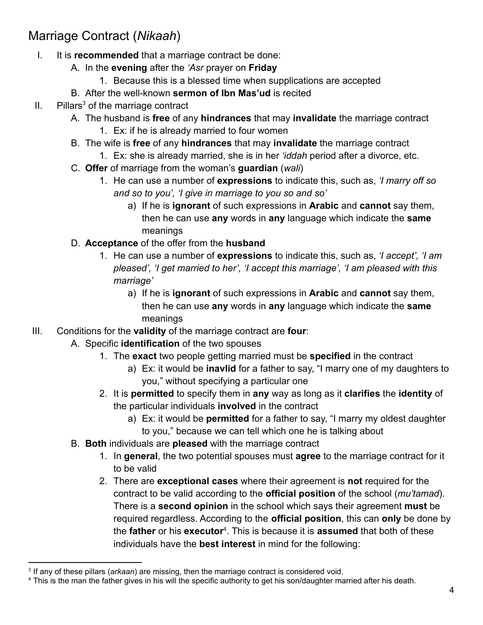#### <span id="page-3-0"></span>Marriage Contract (*Nikaah*)

- I. It is **recommended** that a marriage contract be done:
	- A. In the **evening** after the *'Asr* prayer on **Friday**
		- 1. Because this is a blessed time when supplications are accepted
	- B. After the well-known **sermon of Ibn Mas'ud** is recited
- $II.$  Pillars<sup>3</sup> of the marriage contract
	- A. The husband is **free** of any **hindrances** that may **invalidate** the marriage contract 1. Ex: if he is already married to four women
	- B. The wife is **free** of any **hindrances** that may **invalidate** the marriage contract
		- 1. Ex: she is already married, she is in her *'iddah* period after a divorce, etc.
	- C. **Offer** of marriage from the woman's **guardian** (*wali*)
		- 1. He can use a number of **expressions** to indicate this, such as, *'I marry off so and so to you', 'I give in marriage to you so and so'*
			- a) If he is **ignorant** of such expressions in **Arabic** and **cannot** say them, then he can use **any** words in **any** language which indicate the **same** meanings
	- D. **Acceptance** of the offer from the **husband**
		- 1. He can use a number of **expressions** to indicate this, such as, *'I accept', 'I am pleased', 'I get married to her', 'I accept this marriage', 'I am pleased with this marriage'*
			- a) If he is **ignorant** of such expressions in **Arabic** and **cannot** say them, then he can use **any** words in **any** language which indicate the **same** meanings
- III. Conditions for the **validity** of the marriage contract are **four**:
	- A. Specific **identification** of the two spouses
		- 1. The **exact** two people getting married must be **specified** in the contract
			- a) Ex: it would be **inavlid** for a father to say, "I marry one of my daughters to you," without specifying a particular one
		- 2. It is **permitted** to specify them in **any** way as long as it **clarifies** the **identity** of the particular individuals **involved** in the contract
			- a) Ex: it would be **permitted** for a father to say, "I marry my oldest daughter to you," because we can tell which one he is talking about
	- B. **Both** individuals are **pleased** with the marriage contract
		- 1. In **general**, the two potential spouses must **agree** to the marriage contract for it to be valid
		- 2. There are **exceptional cases** where their agreement is **not** required for the contract to be valid according to the **official position** of the school (*mu'tamad*). There is a **second opinion** in the school which says their agreement **must** be required regardless. According to the **official position**, this can **only** be done by the **father** or his **executor**<sup>4</sup> . This is because it is **assumed** that both of these individuals have the **best interest** in mind for the following:

<sup>3</sup> If any of these pillars (*arkaan*) are missing, then the marriage contract is considered void.

<sup>&</sup>lt;sup>4</sup> This is the man the father gives in his will the specific authority to get his son/daughter married after his death.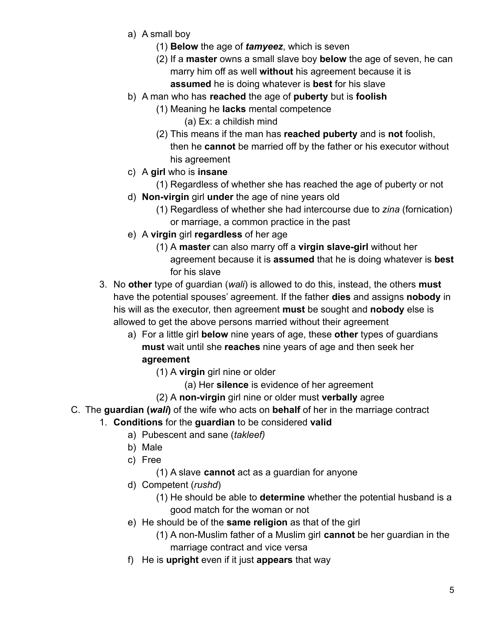- a) A small boy
	- (1) **Below** the age of *tamyeez*, which is seven
	- (2) If a **master** owns a small slave boy **below** the age of seven, he can marry him off as well **without** his agreement because it is **assumed** he is doing whatever is **best** for his slave
- b) A man who has **reached** the age of **puberty** but is **foolish**
	- (1) Meaning he **lacks** mental competence
		- (a) Ex: a childish mind
	- (2) This means if the man has **reached puberty** and is **not** foolish, then he **cannot** be married off by the father or his executor without his agreement
- c) A **girl** who is **insane**
	- (1) Regardless of whether she has reached the age of puberty or not
- d) **Non-virgin** girl **under** the age of nine years old
	- (1) Regardless of whether she had intercourse due to *zina* (fornication) or marriage, a common practice in the past
- e) A **virgin** girl **regardless** of her age
	- (1) A **master** can also marry off a **virgin slave-girl** without her agreement because it is **assumed** that he is doing whatever is **best** for his slave
- 3. No **other** type of guardian (*wali*) is allowed to do this, instead, the others **must** have the potential spouses' agreement. If the father **dies** and assigns **nobody** in his will as the executor, then agreement **must** be sought and **nobody** else is allowed to get the above persons married without their agreement
	- a) For a little girl **below** nine years of age, these **other** types of guardians **must** wait until she **reaches** nine years of age and then seek her **agreement**
		- (1) A **virgin** girl nine or older
			- (a) Her **silence** is evidence of her agreement
		- (2) A **non-virgin** girl nine or older must **verbally** agree
- C. The **guardian (***wali***)** of the wife who acts on **behalf** of her in the marriage contract
	- 1. **Conditions** for the **guardian** to be considered **valid**
		- a) Pubescent and sane (*takleef)*
		- b) Male
		- c) Free
			- (1) A slave **cannot** act as a guardian for anyone
		- d) Competent (*rushd*)
			- (1) He should be able to **determine** whether the potential husband is a good match for the woman or not
		- e) He should be of the **same religion** as that of the girl
			- (1) A non-Muslim father of a Muslim girl **cannot** be her guardian in the marriage contract and vice versa
		- f) He is **upright** even if it just **appears** that way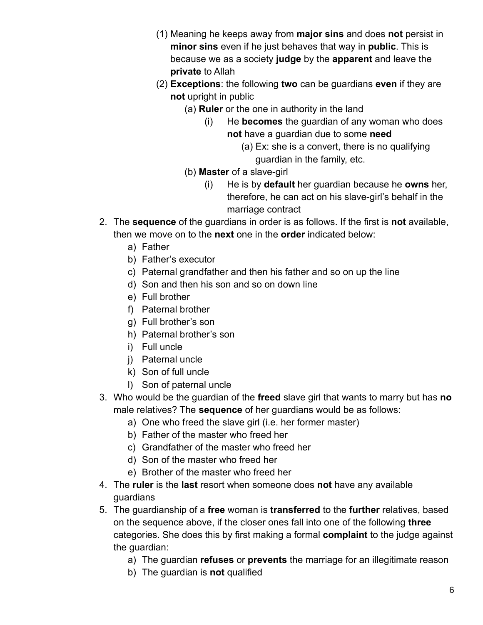- (1) Meaning he keeps away from **major sins** and does **not** persist in **minor sins** even if he just behaves that way in **public**. This is because we as a society **judge** by the **apparent** and leave the **private** to Allah
- (2) **Exceptions**: the following **two** can be guardians **even** if they are **not** upright in public
	- (a) **Ruler** or the one in authority in the land
		- (i) He **becomes** the guardian of any woman who does **not** have a guardian due to some **need**
			- (a) Ex: she is a convert, there is no qualifying guardian in the family, etc.
	- (b) **Master** of a slave-girl
		- (i) He is by **default** her guardian because he **owns** her, therefore, he can act on his slave-girl's behalf in the marriage contract
- 2. The **sequence** of the guardians in order is as follows. If the first is **not** available, then we move on to the **next** one in the **order** indicated below:
	- a) Father
	- b) Father's executor
	- c) Paternal grandfather and then his father and so on up the line
	- d) Son and then his son and so on down line
	- e) Full brother
	- f) Paternal brother
	- g) Full brother's son
	- h) Paternal brother's son
	- i) Full uncle
	- j) Paternal uncle
	- k) Son of full uncle
	- l) Son of paternal uncle
- 3. Who would be the guardian of the **freed** slave girl that wants to marry but has **no** male relatives? The **sequence** of her guardians would be as follows:
	- a) One who freed the slave girl (i.e. her former master)
	- b) Father of the master who freed her
	- c) Grandfather of the master who freed her
	- d) Son of the master who freed her
	- e) Brother of the master who freed her
- 4. The **ruler** is the **last** resort when someone does **not** have any available guardians
- 5. The guardianship of a **free** woman is **transferred** to the **further** relatives, based on the sequence above, if the closer ones fall into one of the following **three** categories. She does this by first making a formal **complaint** to the judge against the guardian:
	- a) The guardian **refuses** or **prevents** the marriage for an illegitimate reason
	- b) The guardian is **not** qualified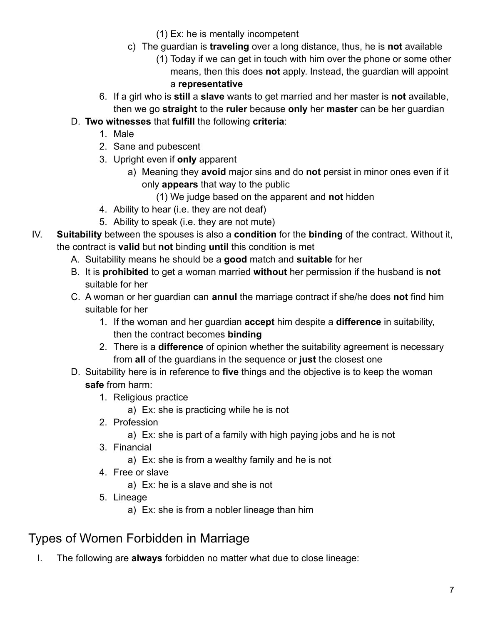- (1) Ex: he is mentally incompetent
- c) The guardian is **traveling** over a long distance, thus, he is **not** available
	- (1) Today if we can get in touch with him over the phone or some other means, then this does **not** apply. Instead, the guardian will appoint a **representative**
- 6. If a girl who is **still** a **slave** wants to get married and her master is **not** available, then we go **straight** to the **ruler** because **only** her **master** can be her guardian
- D. **Two witnesses** that **fulfill** the following **criteria**:
	- 1. Male
	- 2. Sane and pubescent
	- 3. Upright even if **only** apparent
		- a) Meaning they **avoid** major sins and do **not** persist in minor ones even if it only **appears** that way to the public
			- (1) We judge based on the apparent and **not** hidden
	- 4. Ability to hear (i.e. they are not deaf)
	- 5. Ability to speak (i.e. they are not mute)
- IV. **Suitability** between the spouses is also a **condition** for the **binding** of the contract. Without it, the contract is **valid** but **not** binding **until** this condition is met
	- A. Suitability means he should be a **good** match and **suitable** for her
	- B. It is **prohibited** to get a woman married **without** her permission if the husband is **not** suitable for her
	- C. A woman or her guardian can **annul** the marriage contract if she/he does **not** find him suitable for her
		- 1. If the woman and her guardian **accept** him despite a **difference** in suitability, then the contract becomes **binding**
		- 2. There is a **difference** of opinion whether the suitability agreement is necessary from **all** of the guardians in the sequence or **just** the closest one
	- D. Suitability here is in reference to **five** things and the objective is to keep the woman **safe** from harm:
		- 1. Religious practice
			- a) Ex: she is practicing while he is not
		- 2. Profession
			- a) Ex: she is part of a family with high paying jobs and he is not
		- 3. Financial
			- a) Ex: she is from a wealthy family and he is not
		- 4. Free or slave
			- a) Ex: he is a slave and she is not
		- 5. Lineage
			- a) Ex: she is from a nobler lineage than him

## <span id="page-6-0"></span>Types of Women Forbidden in Marriage

I. The following are **always** forbidden no matter what due to close lineage: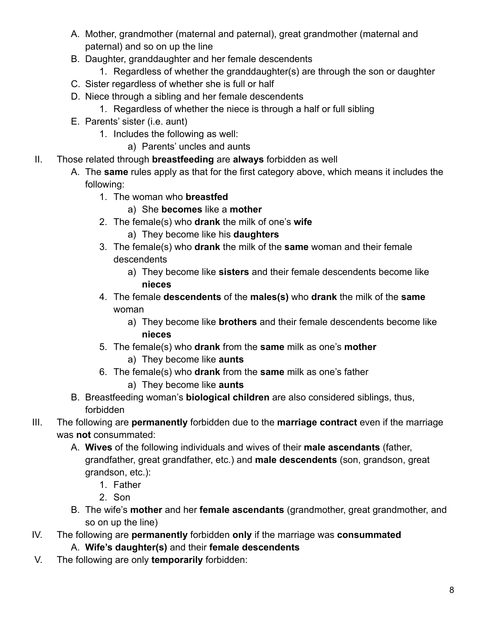- A. Mother, grandmother (maternal and paternal), great grandmother (maternal and paternal) and so on up the line
- B. Daughter, granddaughter and her female descendents
	- 1. Regardless of whether the granddaughter(s) are through the son or daughter
- C. Sister regardless of whether she is full or half
- D. Niece through a sibling and her female descendents
	- 1. Regardless of whether the niece is through a half or full sibling
- E. Parents' sister (i.e. aunt)
	- 1. Includes the following as well:
		- a) Parents' uncles and aunts
- II. Those related through **breastfeeding** are **always** forbidden as well
	- A. The **same** rules apply as that for the first category above, which means it includes the following:
		- 1. The woman who **breastfed**
			- a) She **becomes** like a **mother**
		- 2. The female(s) who **drank** the milk of one's **wife**
			- a) They become like his **daughters**
		- 3. The female(s) who **drank** the milk of the **same** woman and their female descendents
			- a) They become like **sisters** and their female descendents become like **nieces**
		- 4. The female **descendents** of the **males(s)** who **drank** the milk of the **same** woman
			- a) They become like **brothers** and their female descendents become like **nieces**
		- 5. The female(s) who **drank** from the **same** milk as one's **mother**
			- a) They become like **aunts**
		- 6. The female(s) who **drank** from the **same** milk as one's father
			- a) They become like **aunts**
	- B. Breastfeeding woman's **biological children** are also considered siblings, thus, forbidden
- III. The following are **permanently** forbidden due to the **marriage contract** even if the marriage was **not** consummated:
	- A. **Wives** of the following individuals and wives of their **male ascendants** (father, grandfather, great grandfather, etc.) and **male descendents** (son, grandson, great grandson, etc.):
		- 1. Father
		- 2. Son
	- B. The wife's **mother** and her **female ascendants** (grandmother, great grandmother, and so on up the line)
- IV. The following are **permanently** forbidden **only** if the marriage was **consummated** A. **Wife's daughter(s)** and their **female descendents**
- V. The following are only **temporarily** forbidden: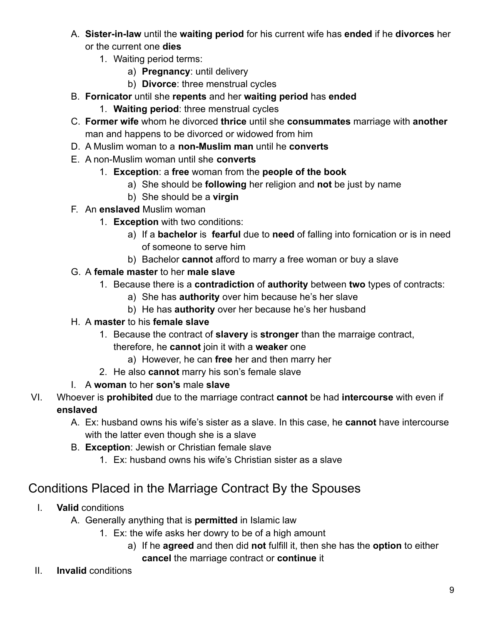- A. **Sister-in-law** until the **waiting period** for his current wife has **ended** if he **divorces** her or the current one **dies**
	- 1. Waiting period terms:
		- a) **Pregnancy**: until delivery
		- b) **Divorce**: three menstrual cycles
- B. **Fornicator** until she **repents** and her **waiting period** has **ended**
	- 1. **Waiting period**: three menstrual cycles
- C. **Former wife** whom he divorced **thrice** until she **consummates** marriage with **another** man and happens to be divorced or widowed from him
- D. A Muslim woman to a **non-Muslim man** until he **converts**
- E. A non-Muslim woman until she **converts**
	- 1. **Exception**: a **free** woman from the **people of the book**
		- a) She should be **following** her religion and **not** be just by name
		- b) She should be a **virgin**
- F. An **enslaved** Muslim woman
	- 1. **Exception** with two conditions:
		- a) If a **bachelor** is **fearful** due to **need** of falling into fornication or is in need of someone to serve him
		- b) Bachelor **cannot** afford to marry a free woman or buy a slave
- G. A **female master** to her **male slave**
	- 1. Because there is a **contradiction** of **authority** between **two** types of contracts:
		- a) She has **authority** over him because he's her slave
		- b) He has **authority** over her because he's her husband
- H. A **master** to his **female slave**
	- 1. Because the contract of **slavery** is **stronger** than the marraige contract,
		- therefore, he **cannot** join it with a **weaker** one
			- a) However, he can **free** her and then marry her
	- 2. He also **cannot** marry his son's female slave
- I. A **woman** to her **son's** male **slave**
- VI. Whoever is **prohibited** due to the marriage contract **cannot** be had **intercourse** with even if **enslaved**
	- A. Ex: husband owns his wife's sister as a slave. In this case, he **cannot** have intercourse with the latter even though she is a slave
	- B. **Exception**: Jewish or Christian female slave
		- 1. Ex: husband owns his wife's Christian sister as a slave

#### <span id="page-8-0"></span>Conditions Placed in the Marriage Contract By the Spouses

- I. **Valid** conditions
	- A. Generally anything that is **permitted** in Islamic law
		- 1. Ex: the wife asks her dowry to be of a high amount
			- a) If he **agreed** and then did **not** fulfill it, then she has the **option** to either **cancel** the marriage contract or **continue** it
- II. **Invalid** conditions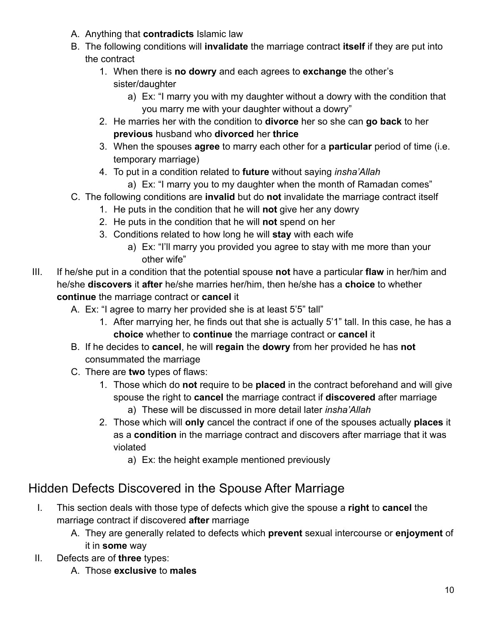- A. Anything that **contradicts** Islamic law
- B. The following conditions will **invalidate** the marriage contract **itself** if they are put into the contract
	- 1. When there is **no dowry** and each agrees to **exchange** the other's sister/daughter
		- a) Ex: "I marry you with my daughter without a dowry with the condition that you marry me with your daughter without a dowry"
	- 2. He marries her with the condition to **divorce** her so she can **go back** to her **previous** husband who **divorced** her **thrice**
	- 3. When the spouses **agree** to marry each other for a **particular** period of time (i.e. temporary marriage)
	- 4. To put in a condition related to **future** without saying *insha'Allah*
		- a) Ex: "I marry you to my daughter when the month of Ramadan comes"
- C. The following conditions are **invalid** but do **not** invalidate the marriage contract itself
	- 1. He puts in the condition that he will **not** give her any dowry
	- 2. He puts in the condition that he will **not** spend on her
	- 3. Conditions related to how long he will **stay** with each wife
		- a) Ex: "I'll marry you provided you agree to stay with me more than your other wife"
- III. If he/she put in a condition that the potential spouse **not** have a particular **flaw** in her/him and he/she **discovers** it **after** he/she marries her/him, then he/she has a **choice** to whether **continue** the marriage contract or **cancel** it
	- A. Ex: "I agree to marry her provided she is at least 5'5" tall"
		- 1. After marrying her, he finds out that she is actually 5'1" tall. In this case, he has a **choice** whether to **continue** the marriage contract or **cancel** it
	- B. If he decides to **cancel**, he will **regain** the **dowry** from her provided he has **not** consummated the marriage
	- C. There are **two** types of flaws:
		- 1. Those which do **not** require to be **placed** in the contract beforehand and will give spouse the right to **cancel** the marriage contract if **discovered** after marriage a) These will be discussed in more detail later *insha'Allah*
		- 2. Those which will **only** cancel the contract if one of the spouses actually **places** it as a **condition** in the marriage contract and discovers after marriage that it was violated
			- a) Ex: the height example mentioned previously

## <span id="page-9-0"></span>Hidden Defects Discovered in the Spouse After Marriage

- I. This section deals with those type of defects which give the spouse a **right** to **cancel** the marriage contract if discovered **after** marriage
	- A. They are generally related to defects which **prevent** sexual intercourse or **enjoyment** of it in **some** way
- II. Defects are of **three** types:
	- A. Those **exclusive** to **males**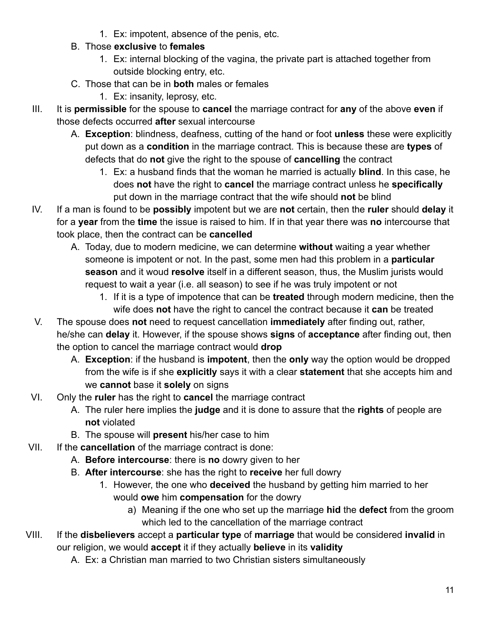- 1. Ex: impotent, absence of the penis, etc.
- B. Those **exclusive** to **females**
	- 1. Ex: internal blocking of the vagina, the private part is attached together from outside blocking entry, etc.
- C. Those that can be in **both** males or females
	- 1. Ex: insanity, leprosy, etc.
- III. It is **permissible** for the spouse to **cancel** the marriage contract for **any** of the above **even** if those defects occurred **after** sexual intercourse
	- A. **Exception**: blindness, deafness, cutting of the hand or foot **unless** these were explicitly put down as a **condition** in the marriage contract. This is because these are **types** of defects that do **not** give the right to the spouse of **cancelling** the contract
		- 1. Ex: a husband finds that the woman he married is actually **blind**. In this case, he does **not** have the right to **cancel** the marriage contract unless he **specifically** put down in the marriage contract that the wife should **not** be blind
- IV. If a man is found to be **possibly** impotent but we are **not** certain, then the **ruler** should **delay** it for a **year** from the **time** the issue is raised to him. If in that year there was **no** intercourse that took place, then the contract can be **cancelled**
	- A. Today, due to modern medicine, we can determine **without** waiting a year whether someone is impotent or not. In the past, some men had this problem in a **particular season** and it woud **resolve** itself in a different season, thus, the Muslim jurists would request to wait a year (i.e. all season) to see if he was truly impotent or not
		- 1. If it is a type of impotence that can be **treated** through modern medicine, then the wife does **not** have the right to cancel the contract because it **can** be treated
- V. The spouse does **not** need to request cancellation **immediately** after finding out, rather, he/she can **delay** it. However, if the spouse shows **signs** of **acceptance** after finding out, then the option to cancel the marriage contract would **drop**
	- A. **Exception**: if the husband is **impotent**, then the **only** way the option would be dropped from the wife is if she **explicitly** says it with a clear **statement** that she accepts him and we **cannot** base it **solely** on signs
- VI. Only the **ruler** has the right to **cancel** the marriage contract
	- A. The ruler here implies the **judge** and it is done to assure that the **rights** of people are **not** violated
	- B. The spouse will **present** his/her case to him
- VII. If the **cancellation** of the marriage contract is done:
	- A. **Before intercourse**: there is **no** dowry given to her
	- B. **After intercourse**: she has the right to **receive** her full dowry
		- 1. However, the one who **deceived** the husband by getting him married to her would **owe** him **compensation** for the dowry
			- a) Meaning if the one who set up the marriage **hid** the **defect** from the groom which led to the cancellation of the marriage contract
- VIII. If the **disbelievers** accept a **particular type** of **marriage** that would be considered **invalid** in our religion, we would **accept** it if they actually **believe** in its **validity**
	- A. Ex: a Christian man married to two Christian sisters simultaneously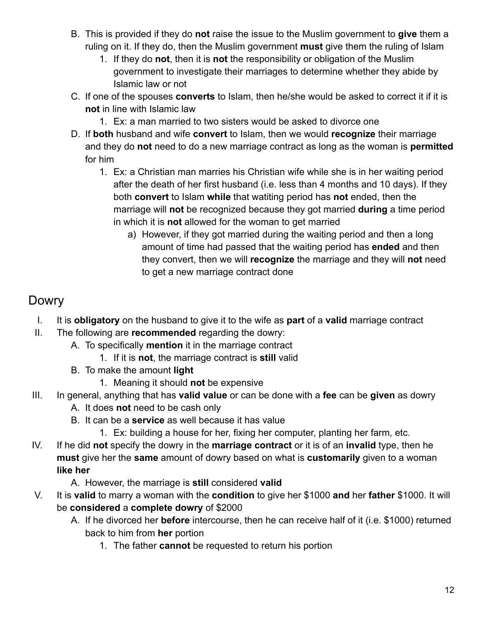- B. This is provided if they do **not** raise the issue to the Muslim government to **give** them a ruling on it. If they do, then the Muslim government **must** give them the ruling of Islam
	- 1. If they do **not**, then it is **not** the responsibility or obligation of the Muslim government to investigate their marriages to determine whether they abide by Islamic law or not
- C. If one of the spouses **converts** to Islam, then he/she would be asked to correct it if it is **not** in line with Islamic law
	- 1. Ex: a man married to two sisters would be asked to divorce one
- D. If **both** husband and wife **convert** to Islam, then we would **recognize** their marriage and they do **not** need to do a new marriage contract as long as the woman is **permitted** for him
	- 1. Ex: a Christian man marries his Christian wife while she is in her waiting period after the death of her first husband (i.e. less than 4 months and 10 days). If they both **convert** to Islam **while** that watiting period has **not** ended, then the marriage will **not** be recognized because they got married **during** a time period in which it is **not** allowed for the woman to get married
		- a) However, if they got married during the waiting period and then a long amount of time had passed that the waiting period has **ended** and then they convert, then we will **recognize** the marriage and they will **not** need to get a new marriage contract done

#### <span id="page-11-0"></span>Dowry

- I. It is **obligatory** on the husband to give it to the wife as **part** of a **valid** marriage contract
- II. The following are **recommended** regarding the dowry:
	- A. To specifically **mention** it in the marriage contract
		- 1. If it is **not**, the marriage contract is **still** valid
	- B. To make the amount **light**
		- 1. Meaning it should **not** be expensive
- III. In general, anything that has **valid value** or can be done with a **fee** can be **given** as dowry
	- A. It does **not** need to be cash only
	- B. It can be a **service** as well because it has value
		- 1. Ex: building a house for her, fixing her computer, planting her farm, etc.
- IV. If he did **not** specify the dowry in the **marriage contract** or it is of an **invalid** type, then he **must** give her the **same** amount of dowry based on what is **customarily** given to a woman **like her**
	- A. However, the marriage is **still** considered **valid**
- V. It is **valid** to marry a woman with the **condition** to give her \$1000 **and** her **father** \$1000. It will be **considered** a **complete dowry** of \$2000
	- A. If he divorced her **before** intercourse, then he can receive half of it (i.e. \$1000) returned back to him from **her** portion
		- 1. The father **cannot** be requested to return his portion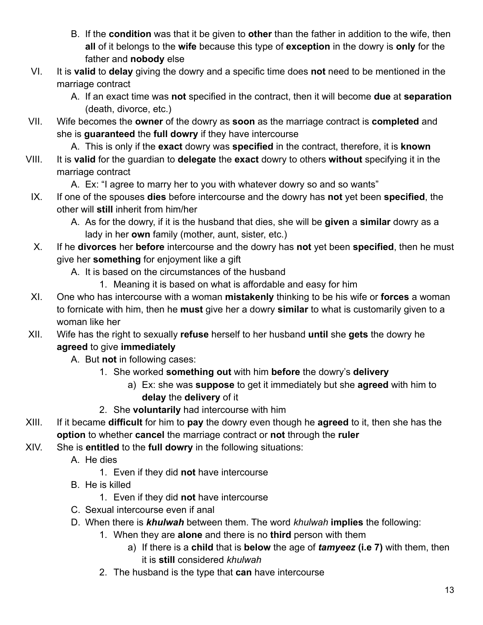- B. If the **condition** was that it be given to **other** than the father in addition to the wife, then **all** of it belongs to the **wife** because this type of **exception** in the dowry is **only** for the father and **nobody** else
- VI. It is **valid** to **delay** giving the dowry and a specific time does **not** need to be mentioned in the marriage contract
	- A. If an exact time was **not** specified in the contract, then it will become **due** at **separation** (death, divorce, etc.)
- VII. Wife becomes the **owner** of the dowry as **soon** as the marriage contract is **completed** and she is **guaranteed** the **full dowry** if they have intercourse

A. This is only if the **exact** dowry was **specified** in the contract, therefore, it is **known**

VIII. It is **valid** for the guardian to **delegate** the **exact** dowry to others **without** specifying it in the marriage contract

A. Ex: "I agree to marry her to you with whatever dowry so and so wants"

- IX. If one of the spouses **dies** before intercourse and the dowry has **not** yet been **specified**, the other will **still** inherit from him/her
	- A. As for the dowry, if it is the husband that dies, she will be **given** a **similar** dowry as a lady in her **own** family (mother, aunt, sister, etc.)
- X. If he **divorces** her **before** intercourse and the dowry has **not** yet been **specified**, then he must give her **something** for enjoyment like a gift
	- A. It is based on the circumstances of the husband
		- 1. Meaning it is based on what is affordable and easy for him
- XI. One who has intercourse with a woman **mistakenly** thinking to be his wife or **forces** a woman to fornicate with him, then he **must** give her a dowry **similar** to what is customarily given to a woman like her
- XII. Wife has the right to sexually **refuse** herself to her husband **until** she **gets** the dowry he **agreed** to give **immediately**

A. But **not** in following cases:

- 1. She worked **something out** with him **before** the dowry's **delivery**
	- a) Ex: she was **suppose** to get it immediately but she **agreed** with him to **delay** the **delivery** of it
- 2. She **voluntarily** had intercourse with him
- XIII. If it became **difficult** for him to **pay** the dowry even though he **agreed** to it, then she has the **option** to whether **cancel** the marriage contract or **not** through the **ruler**
- XIV. She is **entitled** to the **full dowry** in the following situations:
	- A. He dies
		- 1. Even if they did **not** have intercourse
	- B. He is killed
		- 1. Even if they did **not** have intercourse
	- C. Sexual intercourse even if anal
	- D. When there is *khulwah* between them. The word *khulwah* **implies** the following:
		- 1. When they are **alone** and there is no **third** person with them
			- a) If there is a **child** that is **below** the age of *tamyeez* **(i.e 7)** with them, then it is **still** considered *khulwah*
		- 2. The husband is the type that **can** have intercourse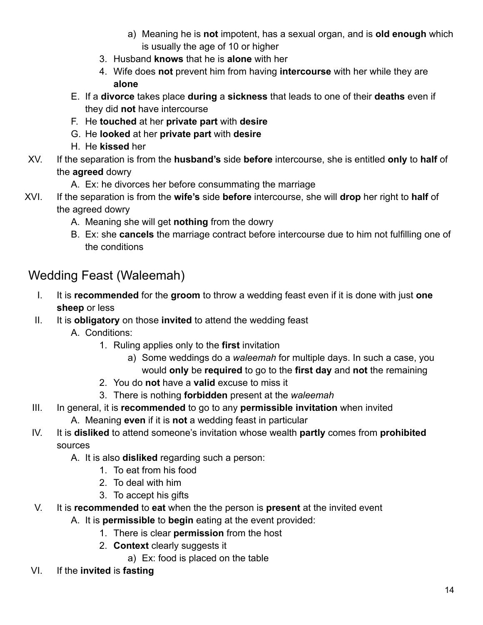- a) Meaning he is **not** impotent, has a sexual organ, and is **old enough** which is usually the age of 10 or higher
- 3. Husband **knows** that he is **alone** with her
- 4. Wife does **not** prevent him from having **intercourse** with her while they are **alone**
- E. If a **divorce** takes place **during** a **sickness** that leads to one of their **deaths** even if they did **not** have intercourse
- F. He **touched** at her **private part** with **desire**
- G. He **looked** at her **private part** with **desire**
- H. He **kissed** her
- XV. If the separation is from the **husband's** side **before** intercourse, she is entitled **only** to **half** of the **agreed** dowry
	- A. Ex: he divorces her before consummating the marriage
- XVI. If the separation is from the **wife's** side **before** intercourse, she will **drop** her right to **half** of the agreed dowry
	- A. Meaning she will get **nothing** from the dowry
	- B. Ex: she **cancels** the marriage contract before intercourse due to him not fulfilling one of the conditions

### <span id="page-13-0"></span>Wedding Feast (Waleemah)

- I. It is **recommended** for the **groom** to throw a wedding feast even if it is done with just **one sheep** or less
- II. It is **obligatory** on those **invited** to attend the wedding feast
	- A. Conditions:
		- 1. Ruling applies only to the **first** invitation
			- a) Some weddings do a *waleemah* for multiple days. In such a case, you would **only** be **required** to go to the **first day** and **not** the remaining
		- 2. You do **not** have a **valid** excuse to miss it
		- 3. There is nothing **forbidden** present at the *waleemah*
- III. In general, it is **recommended** to go to any **permissible invitation** when invited
	- A. Meaning **even** if it is **not** a wedding feast in particular
- IV. It is **disliked** to attend someone's invitation whose wealth **partly** comes from **prohibited** sources
	- A. It is also **disliked** regarding such a person:
		- 1. To eat from his food
		- 2. To deal with him
		- 3. To accept his gifts
- V. It is **recommended** to **eat** when the the person is **present** at the invited event
	- A. It is **permissible** to **begin** eating at the event provided:
		- 1. There is clear **permission** from the host
		- 2. **Context** clearly suggests it
			- a) Ex: food is placed on the table
- VI. If the **invited** is **fasting**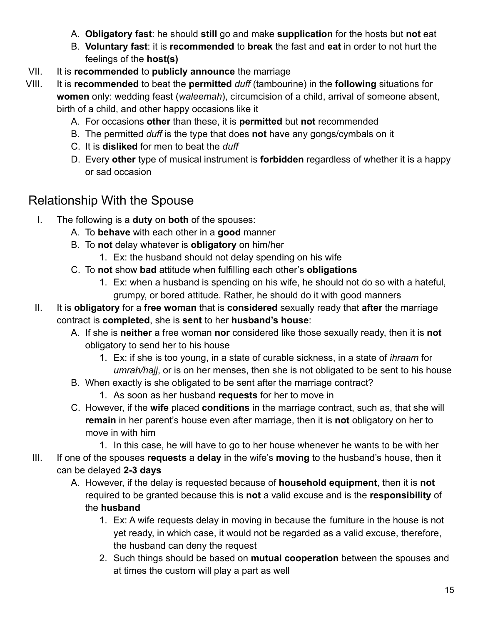- A. **Obligatory fast**: he should **still** go and make **supplication** for the hosts but **not** eat
- B. **Voluntary fast**: it is **recommended** to **break** the fast and **eat** in order to not hurt the feelings of the **host(s)**
- VII. It is **recommended** to **publicly announce** the marriage
- VIII. It is **recommended** to beat the **permitted** *duff* (tambourine) in the **following** situations for **women** only: wedding feast (*waleemah*), circumcision of a child, arrival of someone absent, birth of a child, and other happy occasions like it
	- A. For occasions **other** than these, it is **permitted** but **not** recommended
	- B. The permitted *duff* is the type that does **not** have any gongs/cymbals on it
	- C. It is **disliked** for men to beat the *duff*
	- D. Every **other** type of musical instrument is **forbidden** regardless of whether it is a happy or sad occasion

#### <span id="page-14-0"></span>Relationship With the Spouse

- I. The following is a **duty** on **both** of the spouses:
	- A. To **behave** with each other in a **good** manner
	- B. To **not** delay whatever is **obligatory** on him/her
		- 1. Ex: the husband should not delay spending on his wife
	- C. To **not** show **bad** attitude when fulfilling each other's **obligations**
		- 1. Ex: when a husband is spending on his wife, he should not do so with a hateful, grumpy, or bored attitude. Rather, he should do it with good manners
- II. It is **obligatory** for a **free woman** that is **considered** sexually ready that **after** the marriage contract is **completed**, she is **sent** to her **husband's house**:
	- A. If she is **neither** a free woman **nor** considered like those sexually ready, then it is **not** obligatory to send her to his house
		- 1. Ex: if she is too young, in a state of curable sickness, in a state of *ihraam* for *umrah/hajj*, or is on her menses, then she is not obligated to be sent to his house
	- B. When exactly is she obligated to be sent after the marriage contract?
		- 1. As soon as her husband **requests** for her to move in
	- C. However, if the **wife** placed **conditions** in the marriage contract, such as, that she will **remain** in her parent's house even after marriage, then it is **not** obligatory on her to move in with him
- 1. In this case, he will have to go to her house whenever he wants to be with her III. If one of the spouses **requests** a **delay** in the wife's **moving** to the husband's house, then it

#### can be delayed **2-3 days**

- A. However, if the delay is requested because of **household equipment**, then it is **not** required to be granted because this is **not** a valid excuse and is the **responsibility** of the **husband**
	- 1. Ex: A wife requests delay in moving in because the furniture in the house is not yet ready, in which case, it would not be regarded as a valid excuse, therefore, the husband can deny the request
	- 2. Such things should be based on **mutual cooperation** between the spouses and at times the custom will play a part as well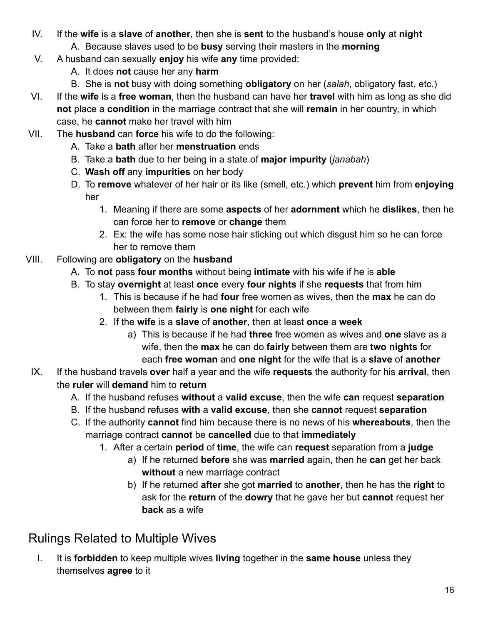- IV. If the **wife** is a **slave** of **another**, then she is **sent** to the husband's house **only** at **night**
	- A. Because slaves used to be **busy** serving their masters in the **morning**
- V. A husband can sexually **enjoy** his wife **any** time provided:
	- A. It does **not** cause her any **harm**
	- B. She is **not** busy with doing something **obligatory** on her (*salah*, obligatory fast, etc.)
- VI. If the **wife** is a **free woman**, then the husband can have her **travel** with him as long as she did **not** place a **condition** in the marriage contract that she will **remain** in her country, in which case, he **cannot** make her travel with him
- VII. The **husband** can **force** his wife to do the following:
	- A. Take a **bath** after her **menstruation** ends
	- B. Take a **bath** due to her being in a state of **major impurity** (*janabah*)
	- C. **Wash off** any **impurities** on her body
	- D. To **remove** whatever of her hair or its like (smell, etc.) which **prevent** him from **enjoying** her
		- 1. Meaning if there are some **aspects** of her **adornment** which he **dislikes**, then he can force her to **remove** or **change** them
		- 2. Ex: the wife has some nose hair sticking out which disgust him so he can force her to remove them
- VIII. Following are **obligatory** on the **husband**
	- A. To **not** pass **four months** without being **intimate** with his wife if he is **able**
	- B. To stay **overnight** at least **once** every **four nights** if she **requests** that from him
		- 1. This is because if he had **four** free women as wives, then the **max** he can do between them **fairly** is **one night** for each wife
		- 2. If the **wife** is a **slave** of **another**, then at least **once** a **week**
			- a) This is because if he had **three** free women as wives and **one** slave as a wife, then the **max** he can do **fairly** between them are **two nights** for each **free woman** and **one night** for the wife that is a **slave** of **another**
	- IX. If the husband travels **over** half a year and the wife **requests** the authority for his **arrival**, then the **ruler** will **demand** him to **return**
		- A. If the husband refuses **without** a **valid excuse**, then the wife **can** request **separation**
		- B. If the husband refuses **with** a **valid excuse**, then she **cannot** request **separation**
		- C. If the authority **cannot** find him because there is no news of his **whereabouts**, then the marriage contract **cannot** be **cancelled** due to that **immediately**
			- 1. After a certain **period** of **time**, the wife can **request** separation from a **judge**
				- a) If he returned **before** she was **married** again, then he **can** get her back **without** a new marriage contract
				- b) If he returned **after** she got **married** to **another**, then he has the **right** to ask for the **return** of the **dowry** that he gave her but **cannot** request her **back** as a wife

## <span id="page-15-0"></span>Rulings Related to Multiple Wives

I. It is **forbidden** to keep multiple wives **living** together in the **same house** unless they themselves **agree** to it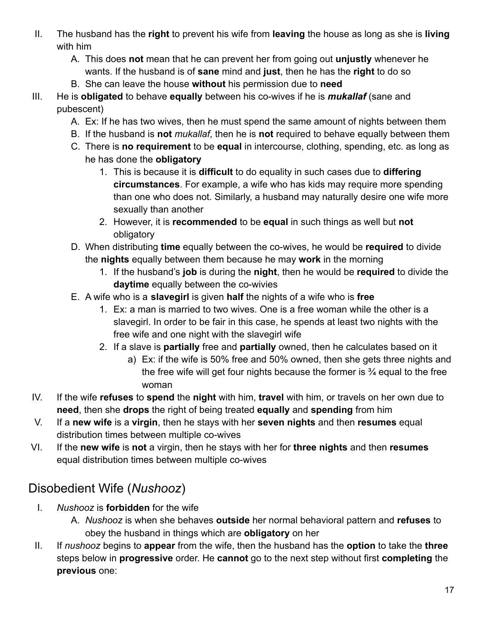- II. The husband has the **right** to prevent his wife from **leaving** the house as long as she is **living** with him
	- A. This does **not** mean that he can prevent her from going out **unjustly** whenever he wants. If the husband is of **sane** mind and **just**, then he has the **right** to do so
	- B. She can leave the house **without** his permission due to **need**
- III. He is **obligated** to behave **equally** between his co-wives if he is *mukallaf* (sane and pubescent)
	- A. Ex: If he has two wives, then he must spend the same amount of nights between them
	- B. If the husband is **not** *mukallaf*, then he is **not** required to behave equally between them
	- C. There is **no requirement** to be **equal** in intercourse, clothing, spending, etc. as long as he has done the **obligatory**
		- 1. This is because it is **difficult** to do equality in such cases due to **differing circumstances**. For example, a wife who has kids may require more spending than one who does not. Similarly, a husband may naturally desire one wife more sexually than another
		- 2. However, it is **recommended** to be **equal** in such things as well but **not** obligatory
	- D. When distributing **time** equally between the co-wives, he would be **required** to divide the **nights** equally between them because he may **work** in the morning
		- 1. If the husband's **job** is during the **night**, then he would be **required** to divide the **daytime** equally between the co-wivies
	- E. A wife who is a **slavegirl** is given **half** the nights of a wife who is **free**
		- 1. Ex: a man is married to two wives. One is a free woman while the other is a slavegirl. In order to be fair in this case, he spends at least two nights with the free wife and one night with the slavegirl wife
		- 2. If a slave is **partially** free and **partially** owned, then he calculates based on it
			- a) Ex: if the wife is 50% free and 50% owned, then she gets three nights and the free wife will get four nights because the former is ¾ equal to the free woman
- IV. If the wife **refuses** to **spend** the **night** with him, **travel** with him, or travels on her own due to **need**, then she **drops** the right of being treated **equally** and **spending** from him
- V. If a **new wife** is a **virgin**, then he stays with her **seven nights** and then **resumes** equal distribution times between multiple co-wives
- VI. If the **new wife** is **not** a virgin, then he stays with her for **three nights** and then **resumes** equal distribution times between multiple co-wives

#### <span id="page-16-0"></span>Disobedient Wife (*Nushooz*)

- I. *Nushooz* is **forbidden** for the wife
	- A. *Nushooz* is when she behaves **outside** her normal behavioral pattern and **refuses** to obey the husband in things which are **obligatory** on her
- II. If *nushooz* begins to **appear** from the wife, then the husband has the **option** to take the **three** steps below in **progressive** order. He **cannot** go to the next step without first **completing** the **previous** one: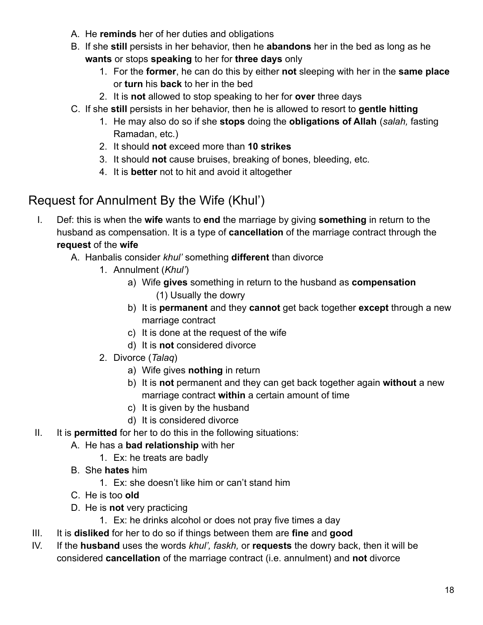- A. He **reminds** her of her duties and obligations
- B. If she **still** persists in her behavior, then he **abandons** her in the bed as long as he **wants** or stops **speaking** to her for **three days** only
	- 1. For the **former**, he can do this by either **not** sleeping with her in the **same place** or **turn** his **back** to her in the bed
	- 2. It is **not** allowed to stop speaking to her for **over** three days
- C. If she **still** persists in her behavior, then he is allowed to resort to **gentle hitting**
	- 1. He may also do so if she **stops** doing the **obligations of Allah** (*salah,* fasting Ramadan, etc.)
	- 2. It should **not** exceed more than **10 strikes**
	- 3. It should **not** cause bruises, breaking of bones, bleeding, etc.
	- 4. It is **better** not to hit and avoid it altogether

### <span id="page-17-0"></span>Request for Annulment By the Wife (Khul')

- I. Def: this is when the **wife** wants to **end** the marriage by giving **something** in return to the husband as compensation. It is a type of **cancellation** of the marriage contract through the **request** of the **wife**
	- A. Hanbalis consider *khul'* something **different** than divorce
		- 1. Annulment (*Khul'*)
			- a) Wife **gives** something in return to the husband as **compensation** (1) Usually the dowry
			- b) It is **permanent** and they **cannot** get back together **except** through a new marriage contract
			- c) It is done at the request of the wife
			- d) It is **not** considered divorce
		- 2. Divorce (*Talaq*)
			- a) Wife gives **nothing** in return
			- b) It is **not** permanent and they can get back together again **without** a new marriage contract **within** a certain amount of time
			- c) It is given by the husband
			- d) It is considered divorce
- II. It is **permitted** for her to do this in the following situations:
	- A. He has a **bad relationship** with her
		- 1. Ex: he treats are badly
	- B. She **hates** him
		- 1. Ex: she doesn't like him or can't stand him
	- C. He is too **old**
	- D. He is **not** very practicing
		- 1. Ex: he drinks alcohol or does not pray five times a day
- III. It is **disliked** for her to do so if things between them are **fine** and **good**
- IV. If the **husband** uses the words *khul', faskh,* or **requests** the dowry back, then it will be considered **cancellation** of the marriage contract (i.e. annulment) and **not** divorce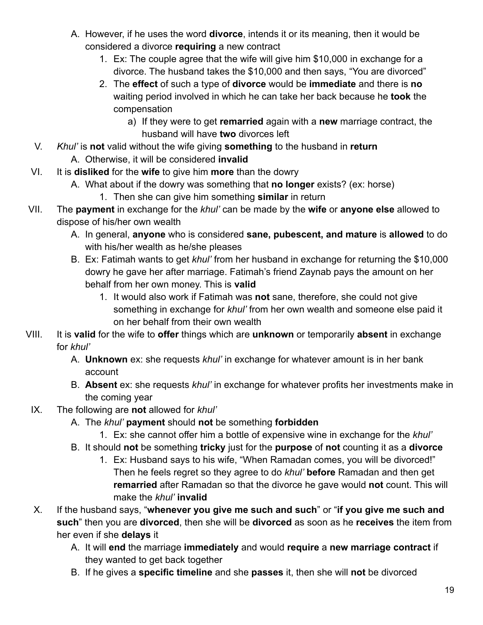- A. However, if he uses the word **divorce**, intends it or its meaning, then it would be considered a divorce **requiring** a new contract
	- 1. Ex: The couple agree that the wife will give him \$10,000 in exchange for a divorce. The husband takes the \$10,000 and then says, "You are divorced"
	- 2. The **effect** of such a type of **divorce** would be **immediate** and there is **no** waiting period involved in which he can take her back because he **took** the compensation
		- a) If they were to get **remarried** again with a **new** marriage contract, the husband will have **two** divorces left
- V. *Khul'* is **not** valid without the wife giving **something** to the husband in **return** A. Otherwise, it will be considered **invalid**
- VI. It is **disliked** for the **wife** to give him **more** than the dowry
	- A. What about if the dowry was something that **no longer** exists? (ex: horse)
		- 1. Then she can give him something **similar** in return
- VII. The **payment** in exchange for the *khul'* can be made by the **wife** or **anyone else** allowed to dispose of his/her own wealth
	- A. In general, **anyone** who is considered **sane, pubescent, and mature** is **allowed** to do with his/her wealth as he/she pleases
	- B. Ex: Fatimah wants to get *khul'* from her husband in exchange for returning the \$10,000 dowry he gave her after marriage. Fatimah's friend Zaynab pays the amount on her behalf from her own money. This is **valid**
		- 1. It would also work if Fatimah was **not** sane, therefore, she could not give something in exchange for *khul'* from her own wealth and someone else paid it on her behalf from their own wealth
- VIII. It is **valid** for the wife to **offer** things which are **unknown** or temporarily **absent** in exchange for *khul'*
	- A. **Unknown** ex: she requests *khul'* in exchange for whatever amount is in her bank account
	- B. **Absent** ex: she requests *khul'* in exchange for whatever profits her investments make in the coming year
	- IX. The following are **not** allowed for *khul'*
		- A. The *khul'* **payment** should **not** be something **forbidden**
			- 1. Ex: she cannot offer him a bottle of expensive wine in exchange for the *khul'*
		- B. It should **not** be something **tricky** just for the **purpose** of **not** counting it as a **divorce**
			- 1. Ex: Husband says to his wife, "When Ramadan comes, you will be divorced!" Then he feels regret so they agree to do *khul'* **before** Ramadan and then get **remarried** after Ramadan so that the divorce he gave would **not** count. This will make the *khul'* **invalid**
	- X. If the husband says, "**whenever you give me such and such**" or "**if you give me such and such**" then you are **divorced**, then she will be **divorced** as soon as he **receives** the item from her even if she **delays** it
		- A. It will **end** the marriage **immediately** and would **require** a **new marriage contract** if they wanted to get back together
		- B. If he gives a **specific timeline** and she **passes** it, then she will **not** be divorced